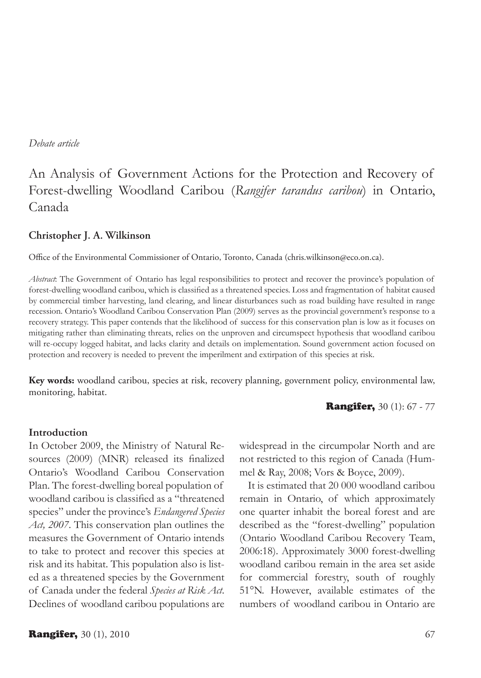#### *Debate article*

# An Analysis of Government Actions for the Protection and Recovery of Forest-dwelling Woodland Caribou (*Rangifer tarandus caribou*) in Ontario, Canada

#### **Christopher J. A. Wilkinson**

Office of the Environmental Commissioner of Ontario, Toronto, Canada (chris.wilkinson@eco.on.ca).

*Abstract*: The Government of Ontario has legal responsibilities to protect and recover the province's population of forest-dwelling woodland caribou, which is classified as a threatened species. Loss and fragmentation of habitat caused by commercial timber harvesting, land clearing, and linear disturbances such as road building have resulted in range recession. Ontario's Woodland Caribou Conservation Plan (2009) serves as the provincial government's response to a recovery strategy. This paper contends that the likelihood of success for this conservation plan is low as it focuses on mitigating rather than eliminating threats, relies on the unproven and circumspect hypothesis that woodland caribou will re-occupy logged habitat, and lacks clarity and details on implementation. Sound government action focused on protection and recovery is needed to prevent the imperilment and extirpation of this species at risk.

**Key words:** woodland caribou, species at risk, recovery planning, government policy, environmental law, monitoring, habitat.

**Rangifer, 30 (1): 67 - 77** 

#### **Introduction**

In October 2009, the Ministry of Natural Resources (2009) (MNR) released its finalized Ontario's Woodland Caribou Conservation Plan. The forest-dwelling boreal population of woodland caribou is classified as a "threatened species" under the province's *Endangered Species Act, 2007*. This conservation plan outlines the measures the Government of Ontario intends to take to protect and recover this species at risk and its habitat. This population also is listed as a threatened species by the Government of Canada under the federal *Species at Risk Act*. Declines of woodland caribou populations are widespread in the circumpolar North and are not restricted to this region of Canada (Hummel & Ray, 2008; Vors & Boyce, 2009).

It is estimated that 20 000 woodland caribou remain in Ontario, of which approximately one quarter inhabit the boreal forest and are described as the "forest-dwelling" population (Ontario Woodland Caribou Recovery Team, 2006:18). Approximately 3000 forest-dwelling woodland caribou remain in the area set aside for commercial forestry, south of roughly 51°N. However, available estimates of the numbers of woodland caribou in Ontario are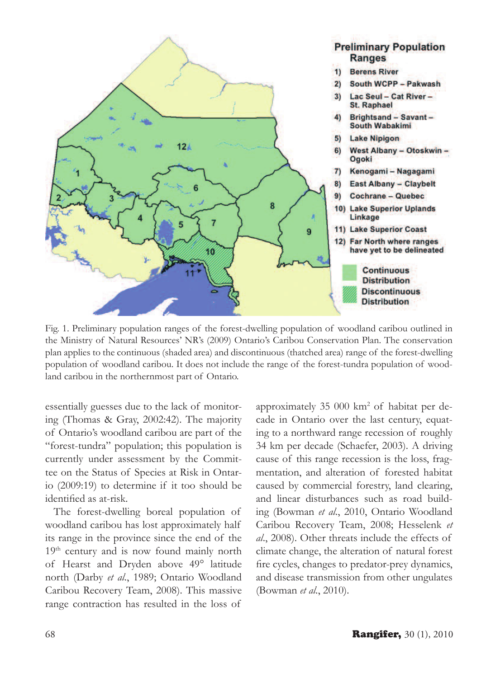

Fig. 1. Preliminary population ranges of the forest-dwelling population of woodland caribou outlined in the Ministry of Natural Resources' NR's (2009) Ontario's Caribou Conservation Plan. The conservation plan applies to the continuous (shaded area) and discontinuous (thatched area) range of the forest-dwelling population of woodland caribou. It does not include the range of the forest-tundra population of woodland caribou in the northernmost part of Ontario.

essentially guesses due to the lack of monitoring (Thomas & Gray, 2002:42). The majority of Ontario's woodland caribou are part of the "forest-tundra" population; this population is currently under assessment by the Committee on the Status of Species at Risk in Ontario (2009:19) to determine if it too should be identified as at-risk.

The forest-dwelling boreal population of woodland caribou has lost approximately half its range in the province since the end of the 19<sup>th</sup> century and is now found mainly north of Hearst and Dryden above 49° latitude north (Darby *et al*., 1989; Ontario Woodland Caribou Recovery Team, 2008). This massive range contraction has resulted in the loss of

approximately 35 000 km2 of habitat per decade in Ontario over the last century, equating to a northward range recession of roughly 34 km per decade (Schaefer, 2003). A driving cause of this range recession is the loss, fragmentation, and alteration of forested habitat caused by commercial forestry, land clearing, and linear disturbances such as road building (Bowman *et al*., 2010, Ontario Woodland Caribou Recovery Team, 2008; Hesselenk *et al*., 2008). Other threats include the effects of climate change, the alteration of natural forest fire cycles, changes to predator-prey dynamics, and disease transmission from other ungulates (Bowman *et al*., 2010).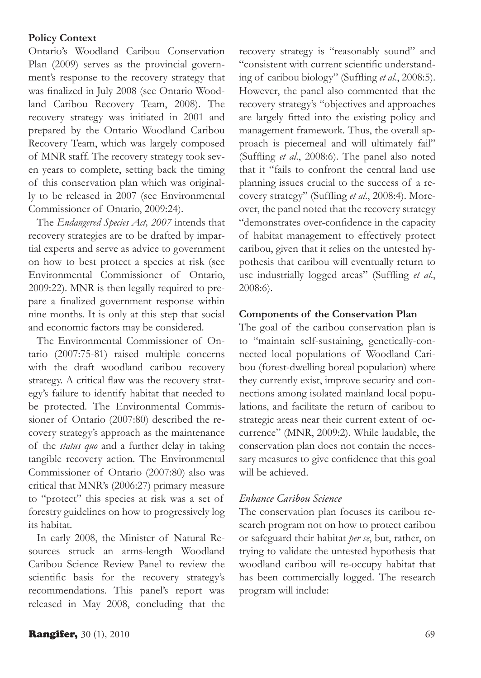#### **Policy Context**

Ontario's Woodland Caribou Conservation Plan (2009) serves as the provincial government's response to the recovery strategy that was finalized in July 2008 (see Ontario Woodland Caribou Recovery Team, 2008). The recovery strategy was initiated in 2001 and prepared by the Ontario Woodland Caribou Recovery Team, which was largely composed of MNR staff. The recovery strategy took seven years to complete, setting back the timing of this conservation plan which was originally to be released in 2007 (see Environmental Commissioner of Ontario, 2009:24).

The *Endangered Species Act, 2007* intends that recovery strategies are to be drafted by impartial experts and serve as advice to government on how to best protect a species at risk (see Environmental Commissioner of Ontario, 2009:22). MNR is then legally required to prepare a finalized government response within nine months. It is only at this step that social and economic factors may be considered.

The Environmental Commissioner of Ontario (2007:75-81) raised multiple concerns with the draft woodland caribou recovery strategy. A critical flaw was the recovery strategy's failure to identify habitat that needed to be protected. The Environmental Commissioner of Ontario (2007:80) described the recovery strategy's approach as the maintenance of the *status quo* and a further delay in taking tangible recovery action. The Environmental Commissioner of Ontario (2007:80) also was critical that MNR's (2006:27) primary measure to "protect" this species at risk was a set of forestry guidelines on how to progressively log its habitat.

In early 2008, the Minister of Natural Resources struck an arms-length Woodland Caribou Science Review Panel to review the scientific basis for the recovery strategy's recommendations. This panel's report was released in May 2008, concluding that the recovery strategy is "reasonably sound" and "consistent with current scientific understanding of caribou biology" (Suffling *et al*., 2008:5). However, the panel also commented that the recovery strategy's "objectives and approaches are largely fitted into the existing policy and management framework. Thus, the overall approach is piecemeal and will ultimately fail" (Suffling *et al*., 2008:6). The panel also noted that it "fails to confront the central land use planning issues crucial to the success of a recovery strategy" (Suffling *et al*., 2008:4). Moreover, the panel noted that the recovery strategy "demonstrates over-confidence in the capacity of habitat management to effectively protect caribou, given that it relies on the untested hypothesis that caribou will eventually return to use industrially logged areas" (Suffling *et al*., 2008:6).

# **Components of the Conservation Plan**

The goal of the caribou conservation plan is to "maintain self-sustaining, genetically-connected local populations of Woodland Caribou (forest-dwelling boreal population) where they currently exist, improve security and connections among isolated mainland local populations, and facilitate the return of caribou to strategic areas near their current extent of occurrence" (MNR, 2009:2). While laudable, the conservation plan does not contain the necessary measures to give confidence that this goal will be achieved.

# *Enhance Caribou Science*

The conservation plan focuses its caribou research program not on how to protect caribou or safeguard their habitat *per se*, but, rather, on trying to validate the untested hypothesis that woodland caribou will re-occupy habitat that has been commercially logged. The research program will include: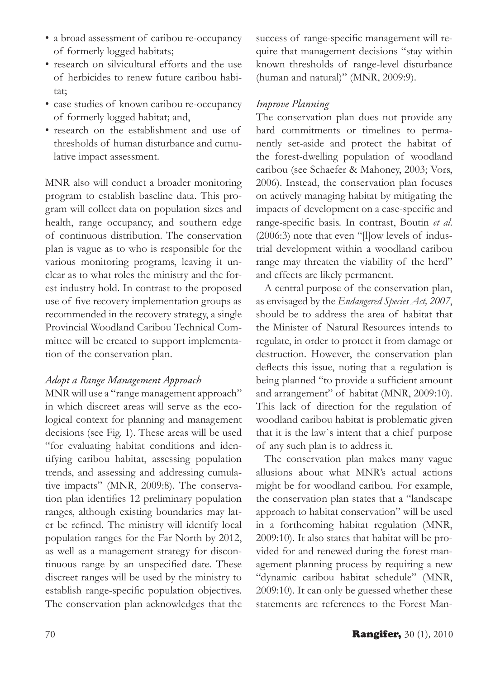- a broad assessment of caribou re-occupancy of formerly logged habitats;
- research on silvicultural efforts and the use of herbicides to renew future caribou habitat;
- case studies of known caribou re-occupancy of formerly logged habitat; and,
- research on the establishment and use of thresholds of human disturbance and cumulative impact assessment.

MNR also will conduct a broader monitoring program to establish baseline data. This program will collect data on population sizes and health, range occupancy, and southern edge of continuous distribution. The conservation plan is vague as to who is responsible for the various monitoring programs, leaving it unclear as to what roles the ministry and the forest industry hold. In contrast to the proposed use of five recovery implementation groups as recommended in the recovery strategy, a single Provincial Woodland Caribou Technical Committee will be created to support implementation of the conservation plan.

# *Adopt a Range Management Approach*

MNR will use a "range management approach" in which discreet areas will serve as the ecological context for planning and management decisions (see Fig. 1). These areas will be used "for evaluating habitat conditions and identifying caribou habitat, assessing population trends, and assessing and addressing cumulative impacts" (MNR, 2009:8). The conservation plan identifies 12 preliminary population ranges, although existing boundaries may later be refined. The ministry will identify local population ranges for the Far North by 2012, as well as a management strategy for discontinuous range by an unspecified date. These discreet ranges will be used by the ministry to establish range-specific population objectives. The conservation plan acknowledges that the

success of range-specific management will require that management decisions "stay within known thresholds of range-level disturbance (human and natural)" (MNR, 2009:9).

# *Improve Planning*

The conservation plan does not provide any hard commitments or timelines to permanently set-aside and protect the habitat of the forest-dwelling population of woodland caribou (see Schaefer & Mahoney, 2003; Vors, 2006). Instead, the conservation plan focuses on actively managing habitat by mitigating the impacts of development on a case-specific and range-specific basis. In contrast, Boutin *et al*. (2006:3) note that even "[l]ow levels of industrial development within a woodland caribou range may threaten the viability of the herd" and effects are likely permanent.

A central purpose of the conservation plan, as envisaged by the *Endangered Species Act, 2007*, should be to address the area of habitat that the Minister of Natural Resources intends to regulate, in order to protect it from damage or destruction. However, the conservation plan deflects this issue, noting that a regulation is being planned "to provide a sufficient amount and arrangement" of habitat (MNR, 2009:10). This lack of direction for the regulation of woodland caribou habitat is problematic given that it is the law`s intent that a chief purpose of any such plan is to address it.

The conservation plan makes many vague allusions about what MNR's actual actions might be for woodland caribou. For example, the conservation plan states that a "landscape approach to habitat conservation" will be used in a forthcoming habitat regulation (MNR, 2009:10). It also states that habitat will be provided for and renewed during the forest management planning process by requiring a new "dynamic caribou habitat schedule" (MNR, 2009:10). It can only be guessed whether these statements are references to the Forest Man-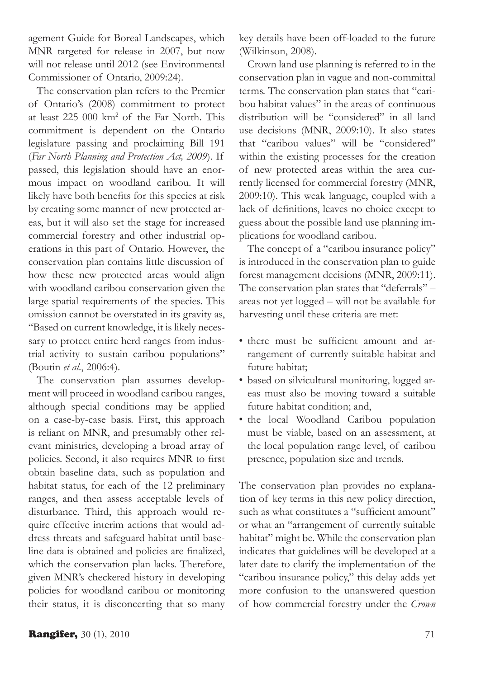agement Guide for Boreal Landscapes, which MNR targeted for release in 2007, but now will not release until 2012 (see Environmental Commissioner of Ontario, 2009:24).

The conservation plan refers to the Premier of Ontario's (2008) commitment to protect at least 225 000 km2 of the Far North. This commitment is dependent on the Ontario legislature passing and proclaiming Bill 191 (*Far North Planning and Protection Act, 2009*). If passed, this legislation should have an enormous impact on woodland caribou. It will likely have both benefits for this species at risk by creating some manner of new protected areas, but it will also set the stage for increased commercial forestry and other industrial operations in this part of Ontario. However, the conservation plan contains little discussion of how these new protected areas would align with woodland caribou conservation given the large spatial requirements of the species. This omission cannot be overstated in its gravity as, "Based on current knowledge, it is likely necessary to protect entire herd ranges from industrial activity to sustain caribou populations" (Boutin *et al*., 2006:4).

The conservation plan assumes development will proceed in woodland caribou ranges, although special conditions may be applied on a case-by-case basis. First, this approach is reliant on MNR, and presumably other relevant ministries, developing a broad array of policies. Second, it also requires MNR to first obtain baseline data, such as population and habitat status, for each of the 12 preliminary ranges, and then assess acceptable levels of disturbance. Third, this approach would require effective interim actions that would address threats and safeguard habitat until baseline data is obtained and policies are finalized, which the conservation plan lacks. Therefore, given MNR's checkered history in developing policies for woodland caribou or monitoring their status, it is disconcerting that so many key details have been off-loaded to the future (Wilkinson, 2008).

Crown land use planning is referred to in the conservation plan in vague and non-committal terms. The conservation plan states that "caribou habitat values" in the areas of continuous distribution will be "considered" in all land use decisions (MNR, 2009:10). It also states that "caribou values" will be "considered" within the existing processes for the creation of new protected areas within the area currently licensed for commercial forestry (MNR, 2009:10). This weak language, coupled with a lack of definitions, leaves no choice except to guess about the possible land use planning implications for woodland caribou.

The concept of a "caribou insurance policy" is introduced in the conservation plan to guide forest management decisions (MNR, 2009:11). The conservation plan states that "deferrals" – areas not yet logged – will not be available for harvesting until these criteria are met:

- there must be sufficient amount and arrangement of currently suitable habitat and future habitat;
- based on silvicultural monitoring, logged areas must also be moving toward a suitable future habitat condition; and,
- the local Woodland Caribou population must be viable, based on an assessment, at the local population range level, of caribou presence, population size and trends.

The conservation plan provides no explanation of key terms in this new policy direction, such as what constitutes a "sufficient amount" or what an "arrangement of currently suitable habitat" might be. While the conservation plan indicates that guidelines will be developed at a later date to clarify the implementation of the "caribou insurance policy," this delay adds yet more confusion to the unanswered question of how commercial forestry under the *Crown*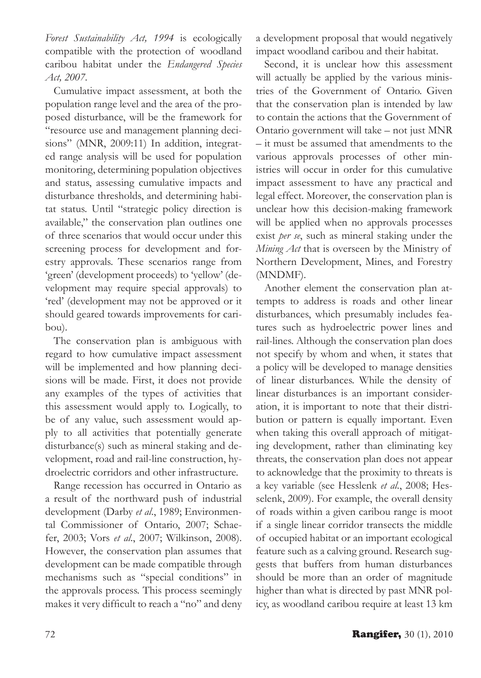*Forest Sustainability Act, 1994* is ecologically compatible with the protection of woodland caribou habitat under the *Endangered Species Act, 2007*.

Cumulative impact assessment, at both the population range level and the area of the proposed disturbance, will be the framework for "resource use and management planning decisions" (MNR, 2009:11) In addition, integrated range analysis will be used for population monitoring, determining population objectives and status, assessing cumulative impacts and disturbance thresholds, and determining habitat status. Until "strategic policy direction is available," the conservation plan outlines one of three scenarios that would occur under this screening process for development and forestry approvals. These scenarios range from 'green' (development proceeds) to 'yellow' (development may require special approvals) to 'red' (development may not be approved or it should geared towards improvements for caribou).

The conservation plan is ambiguous with regard to how cumulative impact assessment will be implemented and how planning decisions will be made. First, it does not provide any examples of the types of activities that this assessment would apply to. Logically, to be of any value, such assessment would apply to all activities that potentially generate disturbance(s) such as mineral staking and development, road and rail-line construction, hydroelectric corridors and other infrastructure.

Range recession has occurred in Ontario as a result of the northward push of industrial development (Darby *et al*., 1989; Environmental Commissioner of Ontario, 2007; Schaefer, 2003; Vors *et al*., 2007; Wilkinson, 2008). However, the conservation plan assumes that development can be made compatible through mechanisms such as "special conditions" in the approvals process. This process seemingly makes it very difficult to reach a "no" and deny a development proposal that would negatively impact woodland caribou and their habitat.

Second, it is unclear how this assessment will actually be applied by the various ministries of the Government of Ontario. Given that the conservation plan is intended by law to contain the actions that the Government of Ontario government will take – not just MNR – it must be assumed that amendments to the various approvals processes of other ministries will occur in order for this cumulative impact assessment to have any practical and legal effect. Moreover, the conservation plan is unclear how this decision-making framework will be applied when no approvals processes exist *per se*, such as mineral staking under the *Mining Act* that is overseen by the Ministry of Northern Development, Mines, and Forestry (MNDMF).

Another element the conservation plan attempts to address is roads and other linear disturbances, which presumably includes features such as hydroelectric power lines and rail-lines. Although the conservation plan does not specify by whom and when, it states that a policy will be developed to manage densities of linear disturbances. While the density of linear disturbances is an important consideration, it is important to note that their distribution or pattern is equally important. Even when taking this overall approach of mitigating development, rather than eliminating key threats, the conservation plan does not appear to acknowledge that the proximity to threats is a key variable (see Hesslenk *et al*., 2008; Hesselenk, 2009). For example, the overall density of roads within a given caribou range is moot if a single linear corridor transects the middle of occupied habitat or an important ecological feature such as a calving ground. Research suggests that buffers from human disturbances should be more than an order of magnitude higher than what is directed by past MNR policy, as woodland caribou require at least 13 km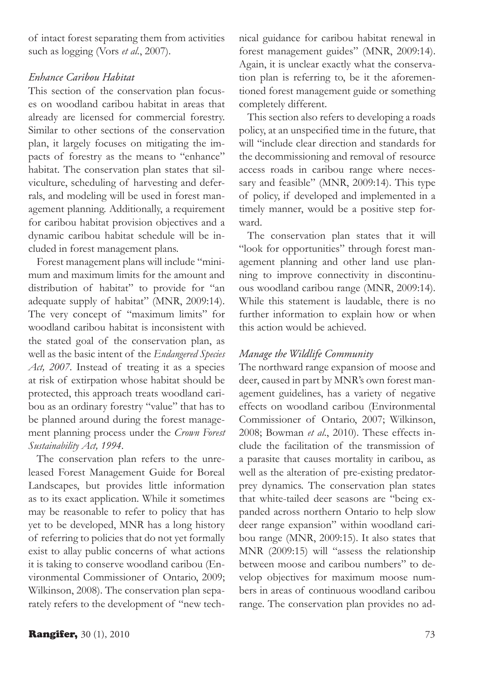of intact forest separating them from activities such as logging (Vors *et al*., 2007).

# *Enhance Caribou Habitat*

This section of the conservation plan focuses on woodland caribou habitat in areas that already are licensed for commercial forestry. Similar to other sections of the conservation plan, it largely focuses on mitigating the impacts of forestry as the means to "enhance" habitat. The conservation plan states that silviculture, scheduling of harvesting and deferrals, and modeling will be used in forest management planning. Additionally, a requirement for caribou habitat provision objectives and a dynamic caribou habitat schedule will be included in forest management plans.

Forest management plans will include "minimum and maximum limits for the amount and distribution of habitat" to provide for "an adequate supply of habitat" (MNR, 2009:14). The very concept of "maximum limits" for woodland caribou habitat is inconsistent with the stated goal of the conservation plan, as well as the basic intent of the *Endangered Species Act, 2007*. Instead of treating it as a species at risk of extirpation whose habitat should be protected, this approach treats woodland caribou as an ordinary forestry "value" that has to be planned around during the forest management planning process under the *Crown Forest Sustainability Act, 1994*.

The conservation plan refers to the unreleased Forest Management Guide for Boreal Landscapes, but provides little information as to its exact application. While it sometimes may be reasonable to refer to policy that has yet to be developed, MNR has a long history of referring to policies that do not yet formally exist to allay public concerns of what actions it is taking to conserve woodland caribou (Environmental Commissioner of Ontario, 2009; Wilkinson, 2008). The conservation plan separately refers to the development of "new technical guidance for caribou habitat renewal in forest management guides" (MNR, 2009:14). Again, it is unclear exactly what the conservation plan is referring to, be it the aforementioned forest management guide or something completely different.

This section also refers to developing a roads policy, at an unspecified time in the future, that will "include clear direction and standards for the decommissioning and removal of resource access roads in caribou range where necessary and feasible" (MNR, 2009:14). This type of policy, if developed and implemented in a timely manner, would be a positive step forward.

The conservation plan states that it will "look for opportunities" through forest management planning and other land use planning to improve connectivity in discontinuous woodland caribou range (MNR, 2009:14). While this statement is laudable, there is no further information to explain how or when this action would be achieved.

# *Manage the Wildlife Community*

The northward range expansion of moose and deer, caused in part by MNR's own forest management guidelines, has a variety of negative effects on woodland caribou (Environmental Commissioner of Ontario, 2007; Wilkinson, 2008; Bowman *et al*., 2010). These effects include the facilitation of the transmission of a parasite that causes mortality in caribou, as well as the alteration of pre-existing predatorprey dynamics. The conservation plan states that white-tailed deer seasons are "being expanded across northern Ontario to help slow deer range expansion" within woodland caribou range (MNR, 2009:15). It also states that MNR (2009:15) will "assess the relationship between moose and caribou numbers" to develop objectives for maximum moose numbers in areas of continuous woodland caribou range. The conservation plan provides no ad-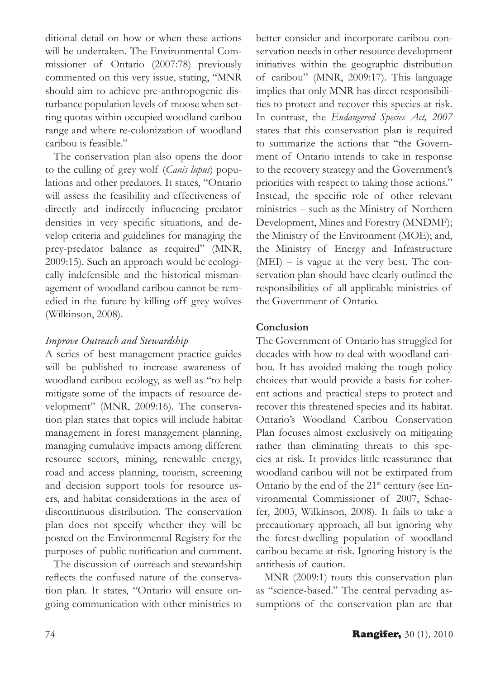ditional detail on how or when these actions will be undertaken. The Environmental Commissioner of Ontario (2007:78) previously commented on this very issue, stating, "MNR should aim to achieve pre-anthropogenic disturbance population levels of moose when setting quotas within occupied woodland caribou range and where re-colonization of woodland caribou is feasible."

The conservation plan also opens the door to the culling of grey wolf (*Canis lupus*) populations and other predators. It states, "Ontario will assess the feasibility and effectiveness of directly and indirectly influencing predator densities in very specific situations, and develop criteria and guidelines for managing the prey-predator balance as required" (MNR, 2009:15). Such an approach would be ecologically indefensible and the historical mismanagement of woodland caribou cannot be remedied in the future by killing off grey wolves (Wilkinson, 2008).

# *Improve Outreach and Stewardship*

A series of best management practice guides will be published to increase awareness of woodland caribou ecology, as well as "to help mitigate some of the impacts of resource development" (MNR, 2009:16). The conservation plan states that topics will include habitat management in forest management planning, managing cumulative impacts among different resource sectors, mining, renewable energy, road and access planning, tourism, screening and decision support tools for resource users, and habitat considerations in the area of discontinuous distribution. The conservation plan does not specify whether they will be posted on the Environmental Registry for the purposes of public notification and comment.

The discussion of outreach and stewardship reflects the confused nature of the conservation plan. It states, "Ontario will ensure ongoing communication with other ministries to

better consider and incorporate caribou conservation needs in other resource development initiatives within the geographic distribution of caribou" (MNR, 2009:17). This language implies that only MNR has direct responsibilities to protect and recover this species at risk. In contrast, the *Endangered Species Act, 2007* states that this conservation plan is required to summarize the actions that "the Government of Ontario intends to take in response to the recovery strategy and the Government's priorities with respect to taking those actions." Instead, the specific role of other relevant ministries – such as the Ministry of Northern Development, Mines and Forestry (MNDMF); the Ministry of the Environment (MOE); and, the Ministry of Energy and Infrastructure (MEI) – is vague at the very best. The conservation plan should have clearly outlined the responsibilities of all applicable ministries of the Government of Ontario.

# **Conclusion**

The Government of Ontario has struggled for decades with how to deal with woodland caribou. It has avoided making the tough policy choices that would provide a basis for coherent actions and practical steps to protect and recover this threatened species and its habitat. Ontario's Woodland Caribou Conservation Plan focuses almost exclusively on mitigating rather than eliminating threats to this species at risk. It provides little reassurance that woodland caribou will not be extirpated from Ontario by the end of the 21<sup>st</sup> century (see Environmental Commissioner of 2007, Schaefer, 2003, Wilkinson, 2008). It fails to take a precautionary approach, all but ignoring why the forest-dwelling population of woodland caribou became at-risk. Ignoring history is the antithesis of caution.

MNR (2009:1) touts this conservation plan as "science-based." The central pervading assumptions of the conservation plan are that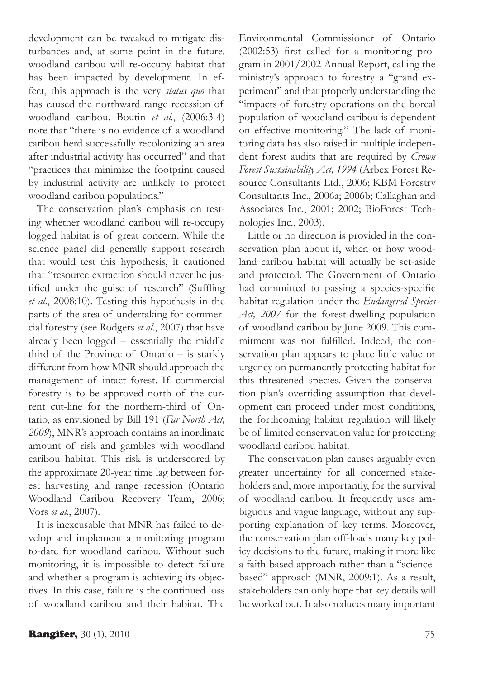development can be tweaked to mitigate disturbances and, at some point in the future, woodland caribou will re-occupy habitat that has been impacted by development. In effect, this approach is the very *status quo* that has caused the northward range recession of woodland caribou. Boutin *et al*., (2006:3-4) note that "there is no evidence of a woodland caribou herd successfully recolonizing an area after industrial activity has occurred" and that "practices that minimize the footprint caused by industrial activity are unlikely to protect woodland caribou populations."

The conservation plan's emphasis on testing whether woodland caribou will re-occupy logged habitat is of great concern. While the science panel did generally support research that would test this hypothesis, it cautioned that "resource extraction should never be justified under the guise of research" (Suffling *et al*., 2008:10). Testing this hypothesis in the parts of the area of undertaking for commercial forestry (see Rodgers *et al*., 2007) that have already been logged – essentially the middle third of the Province of Ontario – is starkly different from how MNR should approach the management of intact forest. If commercial forestry is to be approved north of the current cut-line for the northern-third of Ontario, as envisioned by Bill 191 (*Far North Act, 2009*), MNR's approach contains an inordinate amount of risk and gambles with woodland caribou habitat. This risk is underscored by the approximate 20-year time lag between forest harvesting and range recession (Ontario Woodland Caribou Recovery Team, 2006; Vors *et al*., 2007).

It is inexcusable that MNR has failed to develop and implement a monitoring program to-date for woodland caribou. Without such monitoring, it is impossible to detect failure and whether a program is achieving its objectives. In this case, failure is the continued loss of woodland caribou and their habitat. The Environmental Commissioner of Ontario (2002:53) first called for a monitoring program in 2001/2002 Annual Report, calling the ministry's approach to forestry a "grand experiment" and that properly understanding the "impacts of forestry operations on the boreal population of woodland caribou is dependent on effective monitoring." The lack of monitoring data has also raised in multiple independent forest audits that are required by *Crown Forest Sustainability Act, 1994* (Arbex Forest Resource Consultants Ltd., 2006; KBM Forestry Consultants Inc., 2006a; 2006b; Callaghan and Associates Inc., 2001; 2002; BioForest Technologies Inc., 2003).

Little or no direction is provided in the conservation plan about if, when or how woodland caribou habitat will actually be set-aside and protected. The Government of Ontario had committed to passing a species-specific habitat regulation under the *Endangered Species Act, 2007* for the forest-dwelling population of woodland caribou by June 2009. This commitment was not fulfilled. Indeed, the conservation plan appears to place little value or urgency on permanently protecting habitat for this threatened species. Given the conservation plan's overriding assumption that development can proceed under most conditions, the forthcoming habitat regulation will likely be of limited conservation value for protecting woodland caribou habitat.

The conservation plan causes arguably even greater uncertainty for all concerned stakeholders and, more importantly, for the survival of woodland caribou. It frequently uses ambiguous and vague language, without any supporting explanation of key terms. Moreover, the conservation plan off-loads many key policy decisions to the future, making it more like a faith-based approach rather than a "sciencebased" approach (MNR, 2009:1). As a result, stakeholders can only hope that key details will be worked out. It also reduces many important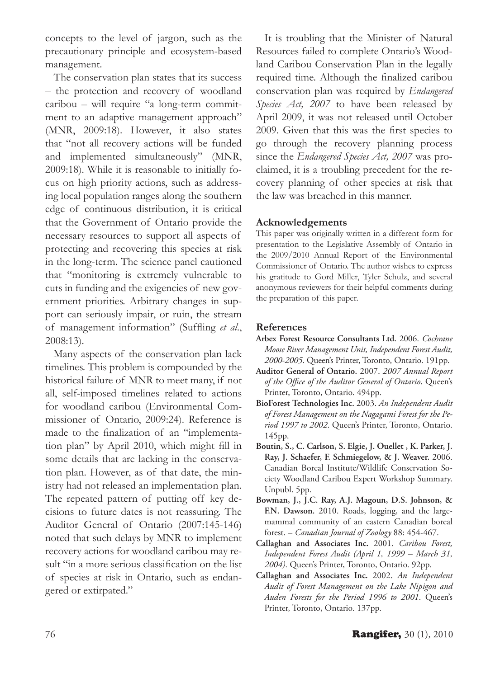concepts to the level of jargon, such as the precautionary principle and ecosystem-based management.

The conservation plan states that its success – the protection and recovery of woodland caribou – will require "a long-term commitment to an adaptive management approach" (MNR, 2009:18). However, it also states that "not all recovery actions will be funded and implemented simultaneously" (MNR, 2009:18). While it is reasonable to initially focus on high priority actions, such as addressing local population ranges along the southern edge of continuous distribution, it is critical that the Government of Ontario provide the necessary resources to support all aspects of protecting and recovering this species at risk in the long-term. The science panel cautioned that "monitoring is extremely vulnerable to cuts in funding and the exigencies of new government priorities. Arbitrary changes in support can seriously impair, or ruin, the stream of management information" (Suffling *et al*., 2008:13).

Many aspects of the conservation plan lack timelines. This problem is compounded by the historical failure of MNR to meet many, if not all, self-imposed timelines related to actions for woodland caribou (Environmental Commissioner of Ontario, 2009:24). Reference is made to the finalization of an "implementation plan" by April 2010, which might fill in some details that are lacking in the conservation plan. However, as of that date, the ministry had not released an implementation plan. The repeated pattern of putting off key decisions to future dates is not reassuring. The Auditor General of Ontario (2007:145-146) noted that such delays by MNR to implement recovery actions for woodland caribou may result "in a more serious classification on the list of species at risk in Ontario, such as endangered or extirpated."

It is troubling that the Minister of Natural Resources failed to complete Ontario's Woodland Caribou Conservation Plan in the legally required time. Although the finalized caribou conservation plan was required by *Endangered*  Species Act, 2007 to have been released by April 2009, it was not released until October 2009. Given that this was the first species to go through the recovery planning process since the *Endangered Species Act, 2007* was proclaimed, it is a troubling precedent for the recovery planning of other species at risk that the law was breached in this manner.

#### **Acknowledgements**

This paper was originally written in a different form for presentation to the Legislative Assembly of Ontario in the 2009/2010 Annual Report of the Environmental Commissioner of Ontario. The author wishes to express his gratitude to Gord Miller, Tyler Schulz, and several anonymous reviewers for their helpful comments during the preparation of this paper.

# **References**

- **Arbex Forest Resource Consultants Ltd.** 2006. *Cochrane Moose River Management Unit, Independent Forest Audit, 2000-2005*. Queen's Printer, Toronto, Ontario. 191pp.
- **Auditor General of Ontario.** 2007. *2007 Annual Report of the Office of the Auditor General of Ontario*. Queen's Printer, Toronto, Ontario. 494pp.
- **BioForest Technologies Inc.** 2003. *An Independent Audit of Forest Management on the Nagagami Forest for the Period 1997 to 2002*. Queen's Printer, Toronto, Ontario. 145pp.
- **Boutin, S., C. Carlson, S. Elgie, J. Ouellet , K. Parker, J. Ray, J. Schaefer, F. Schmiegelow, & J. Weaver.** 2006. Canadian Boreal Institute/Wildlife Conservation Society Woodland Caribou Expert Workshop Summary. Unpubl. 5pp.
- **Bowman, J., J.C. Ray, A.J. Magoun, D.S. Johnson, & F.N. Dawson.** 2010. Roads, logging, and the largemammal community of an eastern Canadian boreal forest. – *Canadian Journal of Zoology* 88: 454-467.
- **Callaghan and Associates Inc.** 2001. *Caribou Forest, Independent Forest Audit (April 1, 1999 – March 31, 2004)*. Queen's Printer, Toronto, Ontario. 92pp.
- **Callaghan and Associates Inc.** 2002. *An Independent Audit of Forest Management on the Lake Nipigon and Auden Forests for the Period 1996 to 2001*. Queen's Printer, Toronto, Ontario. 137pp.